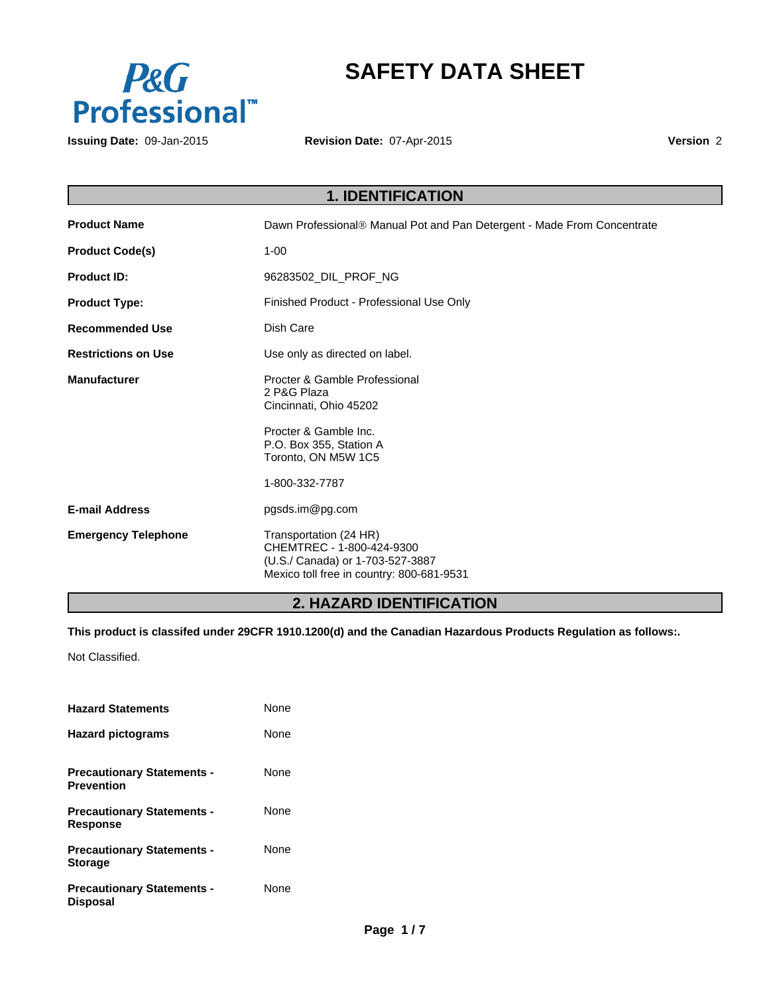

# **SAFETY DATA SHEET**

**Issuing Date:** 09-Jan-2015

**Revision Date:** 07-Apr-2015

**Version** 2

# **1. IDENTIFICATION**

| <b>Product Name</b>        | Dawn Professional® Manual Pot and Pan Detergent - Made From Concentrate                                                              |
|----------------------------|--------------------------------------------------------------------------------------------------------------------------------------|
| <b>Product Code(s)</b>     | $1 - 00$                                                                                                                             |
| <b>Product ID:</b>         | 96283502_DIL_PROF_NG                                                                                                                 |
| <b>Product Type:</b>       | Finished Product - Professional Use Only                                                                                             |
| <b>Recommended Use</b>     | Dish Care                                                                                                                            |
| <b>Restrictions on Use</b> | Use only as directed on label.                                                                                                       |
| <b>Manufacturer</b>        | Procter & Gamble Professional<br>2 P&G Plaza<br>Cincinnati, Ohio 45202                                                               |
|                            | Procter & Gamble Inc.<br>P.O. Box 355, Station A<br>Toronto, ON M5W 1C5                                                              |
|                            | 1-800-332-7787                                                                                                                       |
| <b>E-mail Address</b>      | pgsds.im@pg.com                                                                                                                      |
| <b>Emergency Telephone</b> | Transportation (24 HR)<br>CHEMTREC - 1-800-424-9300<br>(U.S./ Canada) or 1-703-527-3887<br>Mexico toll free in country: 800-681-9531 |

# **2. HAZARD IDENTIFICATION**

**This product is classifed under 29CFR 1910.1200(d) and the Canadian Hazardous Products Regulation as follows:.**

Not Classified.

| <b>Hazard Statements</b>                               | None        |
|--------------------------------------------------------|-------------|
| <b>Hazard pictograms</b>                               | <b>None</b> |
| <b>Precautionary Statements -</b><br><b>Prevention</b> | <b>None</b> |
| <b>Precautionary Statements -</b><br><b>Response</b>   | <b>None</b> |
| <b>Precautionary Statements -</b><br><b>Storage</b>    | None        |
| <b>Precautionary Statements -</b><br><b>Disposal</b>   | None        |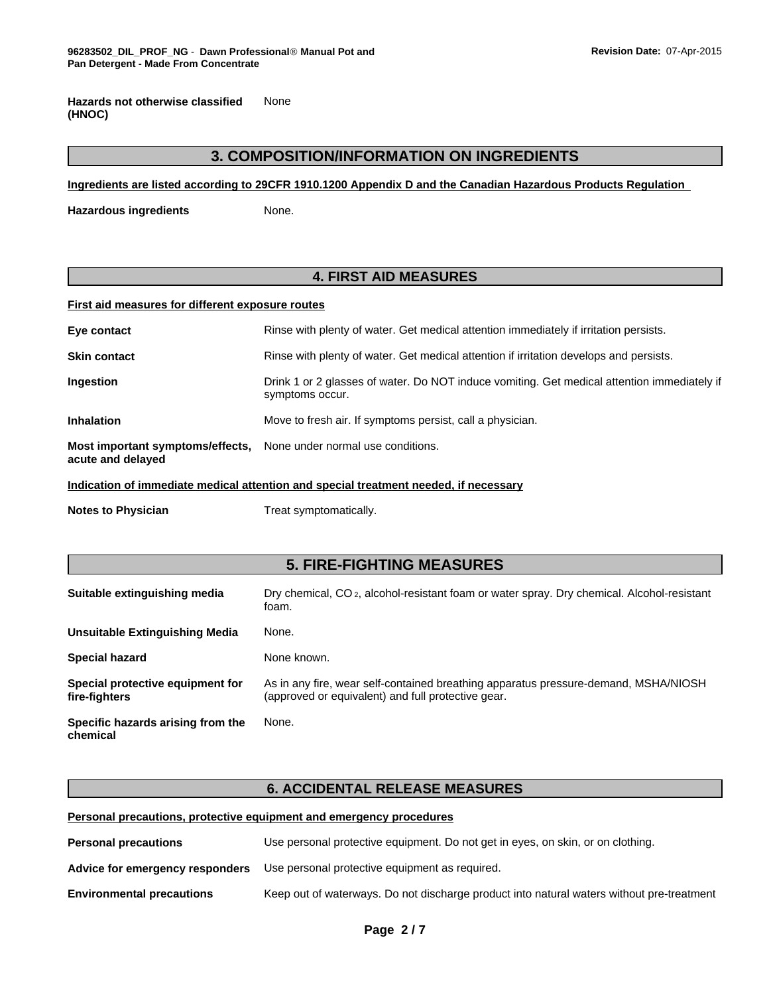None **Hazards not otherwise classified (HNOC)**

## **3. COMPOSITION/INFORMATION ON INGREDIENTS**

**Ingredients are listed according to 29CFR 1910.1200 Appendix D and the Canadian Hazardous Products Regulation** 

**Hazardous ingredients None.** 

## **4. FIRST AID MEASURES**

#### **First aid measures for different exposure routes**

| Eye contact                                                                         | Rinse with plenty of water. Get medical attention immediately if irritation persists.                          |  |
|-------------------------------------------------------------------------------------|----------------------------------------------------------------------------------------------------------------|--|
| <b>Skin contact</b>                                                                 | Rinse with plenty of water. Get medical attention if irritation develops and persists.                         |  |
| <b>Ingestion</b>                                                                    | Drink 1 or 2 glasses of water. Do NOT induce vomiting. Get medical attention immediately if<br>symptoms occur. |  |
| <b>Inhalation</b>                                                                   | Move to fresh air. If symptoms persist, call a physician.                                                      |  |
| Most important symptoms/effects,<br>acute and delayed                               | None under normal use conditions.                                                                              |  |
| Indication of immodiate medical ettention and encoial treatment needed if necessary |                                                                                                                |  |

**Indication of immediate medical attention and special treatment needed, if necessary**

**Notes to Physician** Treat symptomatically.

## **5. FIRE-FIGHTING MEASURES**

| Suitable extinguishing media                      | Dry chemical, CO <sub>2</sub> , alcohol-resistant foam or water spray. Dry chemical. Alcohol-resistant<br>foam.                           |
|---------------------------------------------------|-------------------------------------------------------------------------------------------------------------------------------------------|
| Unsuitable Extinguishing Media                    | None.                                                                                                                                     |
| <b>Special hazard</b>                             | None known.                                                                                                                               |
| Special protective equipment for<br>fire-fighters | As in any fire, wear self-contained breathing apparatus pressure-demand, MSHA/NIOSH<br>(approved or equivalent) and full protective gear. |
| Specific hazards arising from the<br>chemical     | None.                                                                                                                                     |

## **6. ACCIDENTAL RELEASE MEASURES**

#### **Personal precautions, protective equipment and emergency procedures**

| <b>Personal precautions</b>      | Use personal protective equipment. Do not get in eyes, on skin, or on clothing.           |  |
|----------------------------------|-------------------------------------------------------------------------------------------|--|
| Advice for emergency responders  | Use personal protective equipment as required.                                            |  |
| <b>Environmental precautions</b> | Keep out of waterways. Do not discharge product into natural waters without pre-treatment |  |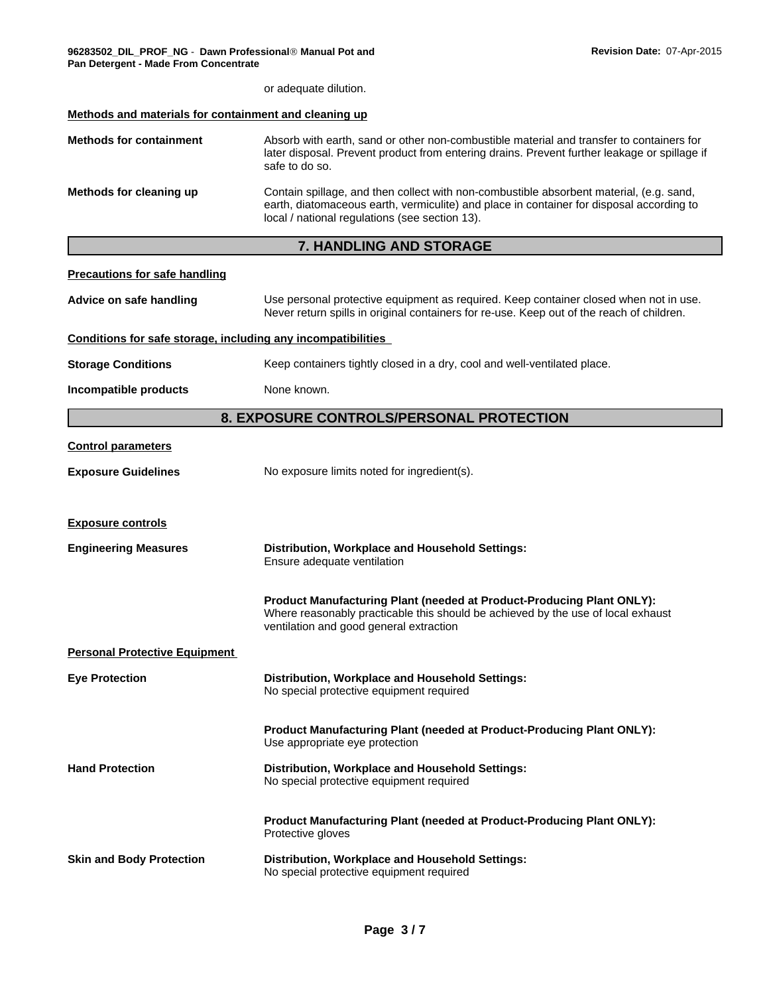| Pan Detergent - made From Concentrate                        |                                                                                                                                                                                                                                       |
|--------------------------------------------------------------|---------------------------------------------------------------------------------------------------------------------------------------------------------------------------------------------------------------------------------------|
|                                                              | or adequate dilution.                                                                                                                                                                                                                 |
| Methods and materials for containment and cleaning up        |                                                                                                                                                                                                                                       |
| <b>Methods for containment</b>                               | Absorb with earth, sand or other non-combustible material and transfer to containers for<br>later disposal. Prevent product from entering drains. Prevent further leakage or spillage if<br>safe to do so.                            |
| Methods for cleaning up                                      | Contain spillage, and then collect with non-combustible absorbent material, (e.g. sand,<br>earth, diatomaceous earth, vermiculite) and place in container for disposal according to<br>local / national regulations (see section 13). |
|                                                              | <b>7. HANDLING AND STORAGE</b>                                                                                                                                                                                                        |
| <b>Precautions for safe handling</b>                         |                                                                                                                                                                                                                                       |
| Advice on safe handling                                      | Use personal protective equipment as required. Keep container closed when not in use.<br>Never return spills in original containers for re-use. Keep out of the reach of children.                                                    |
| Conditions for safe storage, including any incompatibilities |                                                                                                                                                                                                                                       |
| <b>Storage Conditions</b>                                    | Keep containers tightly closed in a dry, cool and well-ventilated place.                                                                                                                                                              |
| Incompatible products                                        | None known.                                                                                                                                                                                                                           |
|                                                              | 8. EXPOSURE CONTROLS/PERSONAL PROTECTION                                                                                                                                                                                              |
| <b>Control parameters</b>                                    |                                                                                                                                                                                                                                       |
| <b>Exposure Guidelines</b>                                   | No exposure limits noted for ingredient(s).                                                                                                                                                                                           |
| <b>Exposure controls</b>                                     |                                                                                                                                                                                                                                       |

**Engineering Measures Distribution, Workplace and Household Settings:** Ensure adequate ventilation **Product Manufacturing Plant (needed at Product-Producing Plant ONLY):** Where reasonably practicable this should be achieved by the use of local exhaust ventilation and good general extraction

## **Personal Protective Equipment**

| <b>Eye Protection</b>  | Distribution, Workplace and Household Settings:<br>No special protective equipment required                    |
|------------------------|----------------------------------------------------------------------------------------------------------------|
|                        | <b>Product Manufacturing Plant (needed at Product-Producing Plant ONLY):</b><br>Use appropriate eye protection |
| <b>Hand Protection</b> | Distribution, Workplace and Household Settings:<br>No special protective equipment required                    |
|                        | <b>Product Manufacturing Plant (needed at Product-Producing Plant ONLY):</b><br>Protective gloves              |
|                        |                                                                                                                |

**Skin and Body Protection Distribution, Workplace and Household Settings:** No special protective equipment required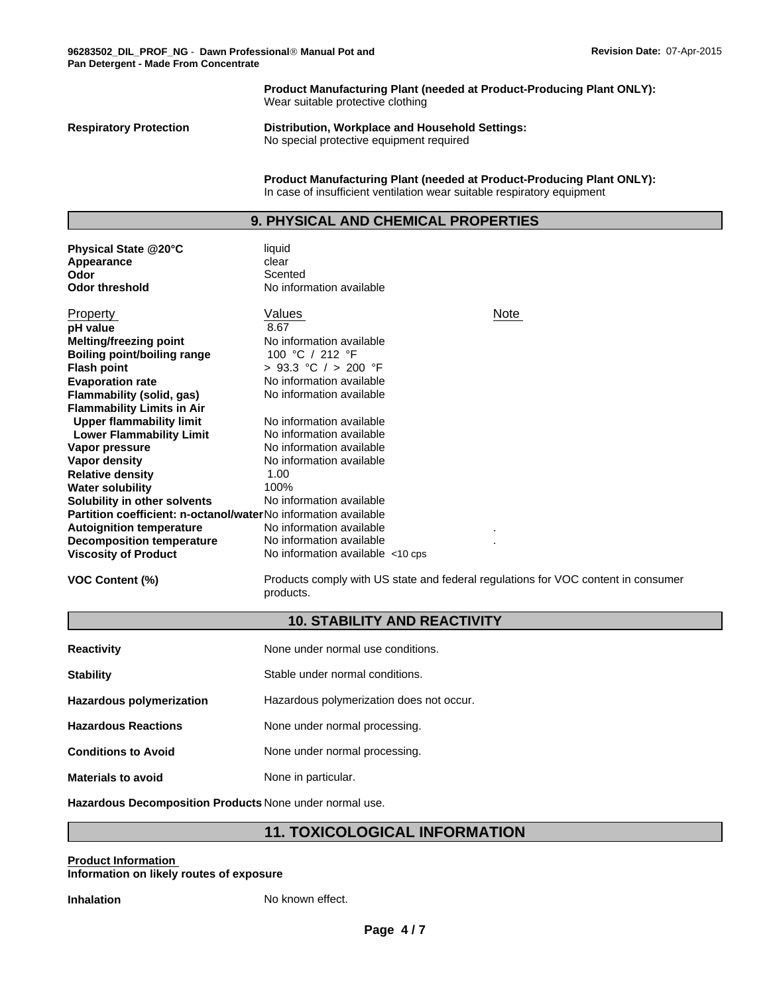**Product Manufacturing Plant (needed at Product-Producing Plant ONLY):** Wear suitable protective clothing

**Physical State @20°C** liquid

**Respiratory Protection Distribution, Workplace and Household Settings:** No special protective equipment required

> **Product Manufacturing Plant (needed at Product-Producing Plant ONLY):** In case of insufficient ventilation wear suitable respiratory equipment

## **9. PHYSICAL AND CHEMICAL PROPERTIES**

| Appearance                                                     | clear                                 |      |
|----------------------------------------------------------------|---------------------------------------|------|
| Odor                                                           | Scented                               |      |
| <b>Odor threshold</b>                                          | No information available              |      |
|                                                                |                                       |      |
| Property                                                       | Values                                | Note |
| pH value                                                       | 8.67                                  |      |
| <b>Melting/freezing point</b>                                  | No information available              |      |
| Boiling point/boiling range                                    | 100 °C / 212 °F                       |      |
| <b>Flash point</b>                                             | > 93.3 °C / > 200 °F                  |      |
| <b>Evaporation rate</b>                                        | No information available              |      |
| <b>Flammability (solid, gas)</b>                               | No information available              |      |
| <b>Flammability Limits in Air</b>                              |                                       |      |
| Upper flammability limit                                       | No information available              |      |
| <b>Lower Flammability Limit</b>                                | No information available              |      |
| Vapor pressure                                                 | No information available              |      |
| Vapor density                                                  | No information available              |      |
| <b>Relative density</b>                                        | 1.00                                  |      |
| <b>Water solubility</b>                                        | 100%                                  |      |
| Solubility in other solvents                                   | No information available              |      |
| Partition coefficient: n-octanol/waterNo information available |                                       |      |
| <b>Autoignition temperature</b>                                | No information available              |      |
| <b>Decomposition temperature</b>                               | No information available              |      |
| <b>Viscosity of Product</b>                                    | No information available $\lt$ 10 cps |      |
|                                                                |                                       |      |

**VOC Content (%)** Products comply with US state and federal regulations for VOC content in consumer products.

## **10. STABILITY AND REACTIVITY**

| <b>Reactivity</b>          | None under normal use conditions.        |
|----------------------------|------------------------------------------|
| <b>Stability</b>           | Stable under normal conditions.          |
| Hazardous polymerization   | Hazardous polymerization does not occur. |
| <b>Hazardous Reactions</b> | None under normal processing.            |
| <b>Conditions to Avoid</b> | None under normal processing.            |
| <b>Materials to avoid</b>  | None in particular.                      |

**Hazardous Decomposition Products** None under normal use.

## **11. TOXICOLOGICAL INFORMATION**

#### **Product Information Information on likely routes of exposure**

**Inhalation** No known effect.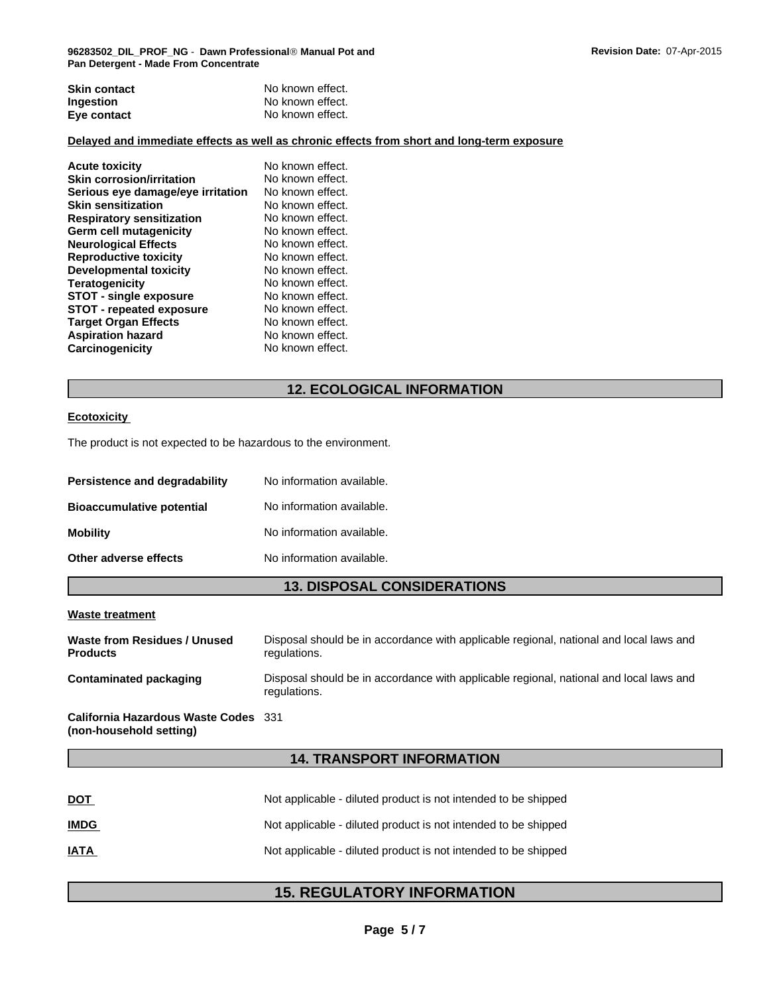| <b>Skin contact</b> | No known effect. |
|---------------------|------------------|
| <b>Ingestion</b>    | No known effect. |
| Eye contact         | No known effect. |

#### **Delayed and immediate effects as well as chronic effects from short and long-term exposure**

| <b>Acute toxicity</b>             | No known effect. |
|-----------------------------------|------------------|
| <b>Skin corrosion/irritation</b>  | No known effect. |
| Serious eye damage/eye irritation | No known effect. |
| <b>Skin sensitization</b>         | No known effect. |
| <b>Respiratory sensitization</b>  | No known effect. |
| Germ cell mutagenicity            | No known effect. |
| <b>Neurological Effects</b>       | No known effect. |
| <b>Reproductive toxicity</b>      | No known effect. |
| <b>Developmental toxicity</b>     | No known effect. |
| <b>Teratogenicity</b>             | No known effect. |
| <b>STOT - single exposure</b>     | No known effect. |
| <b>STOT - repeated exposure</b>   | No known effect. |
| <b>Target Organ Effects</b>       | No known effect. |
| <b>Aspiration hazard</b>          | No known effect. |
| Carcinogenicity                   | No known effect. |
|                                   |                  |

## **12. ECOLOGICAL INFORMATION**

#### **Ecotoxicity**

The product is not expected to be hazardous to the environment.

| <b>Persistence and degradability</b> | No information available. |
|--------------------------------------|---------------------------|
| <b>Bioaccumulative potential</b>     | No information available. |
| Mobility                             | No information available. |
| Other adverse effects                | No information available. |

## **13. DISPOSAL CONSIDERATIONS**

#### **Waste treatment**

| Waste from Residues / Unused | Disposal should be in accordance with applicable regional, national and local laws and                 |
|------------------------------|--------------------------------------------------------------------------------------------------------|
| <b>Products</b>              | regulations.                                                                                           |
| Contaminated packaging       | Disposal should be in accordance with applicable regional, national and local laws and<br>regulations. |

#### **California Hazardous Waste Codes** 331 **(non-household setting)**

## **14. TRANSPORT INFORMATION**

| <u>DOT</u>  | Not applicable - diluted product is not intended to be shipped |
|-------------|----------------------------------------------------------------|
| <u>IMDG</u> | Not applicable - diluted product is not intended to be shipped |
| <u>IATA</u> | Not applicable - diluted product is not intended to be shipped |

## **15. REGULATORY INFORMATION**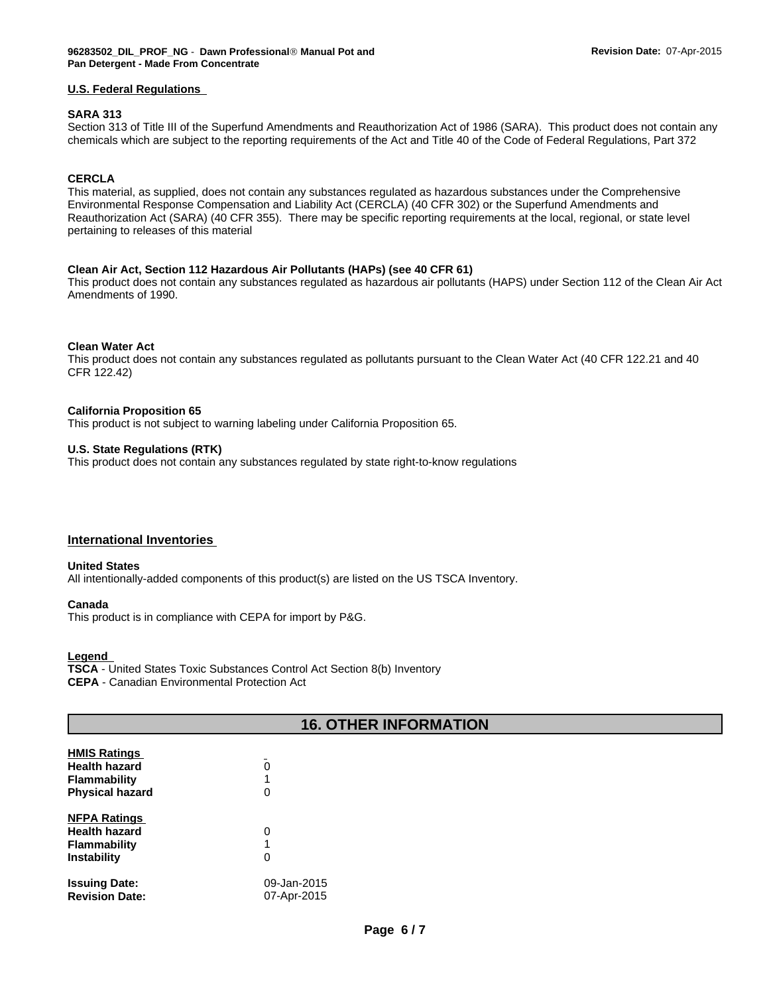#### **U.S. Federal Regulations**

#### **SARA 313**

Section 313 of Title III of the Superfund Amendments and Reauthorization Act of 1986 (SARA). This product does not contain any chemicals which are subject to the reporting requirements of the Act and Title 40 of the Code of Federal Regulations, Part 372

#### **CERCLA**

This material, as supplied, does not contain any substances regulated as hazardous substances under the Comprehensive Environmental Response Compensation and Liability Act (CERCLA) (40 CFR 302) or the Superfund Amendments and Reauthorization Act (SARA) (40 CFR 355). There may be specific reporting requirements at the local, regional, or state level pertaining to releases of this material

#### **Clean Air Act, Section 112 Hazardous Air Pollutants (HAPs) (see 40 CFR 61)**

This product does not contain any substances regulated as hazardous air pollutants (HAPS) under Section 112 of the Clean Air Act Amendments of 1990.

#### **Clean Water Act**

This product does not contain any substances regulated as pollutants pursuant to the Clean Water Act (40 CFR 122.21 and 40 CFR 122.42)

#### **California Proposition 65**

This product is not subject to warning labeling under California Proposition 65.

#### **U.S. State Regulations (RTK)**

This product does not contain any substances regulated by state right-to-know regulations

#### **International Inventories**

#### **United States**

All intentionally-added components of this product(s) are listed on the US TSCA Inventory.

#### **Canada**

This product is in compliance with CEPA for import by P&G.

## **Legend**

**TSCA** - United States Toxic Substances Control Act Section 8(b) Inventory **CEPA** - Canadian Environmental Protection Act

| <b>16. OTHER INFORMATION</b> |             |  |
|------------------------------|-------------|--|
| <b>HMIS Ratings</b>          |             |  |
| <b>Health hazard</b>         | $\Omega$    |  |
| <b>Flammability</b>          |             |  |
| <b>Physical hazard</b>       | 0           |  |
| <b>NFPA Ratings</b>          |             |  |
| <b>Health hazard</b>         | 0           |  |
| <b>Flammability</b>          |             |  |
| Instability                  | 0           |  |
| <b>Issuing Date:</b>         | 09-Jan-2015 |  |
| <b>Revision Date:</b>        | 07-Apr-2015 |  |